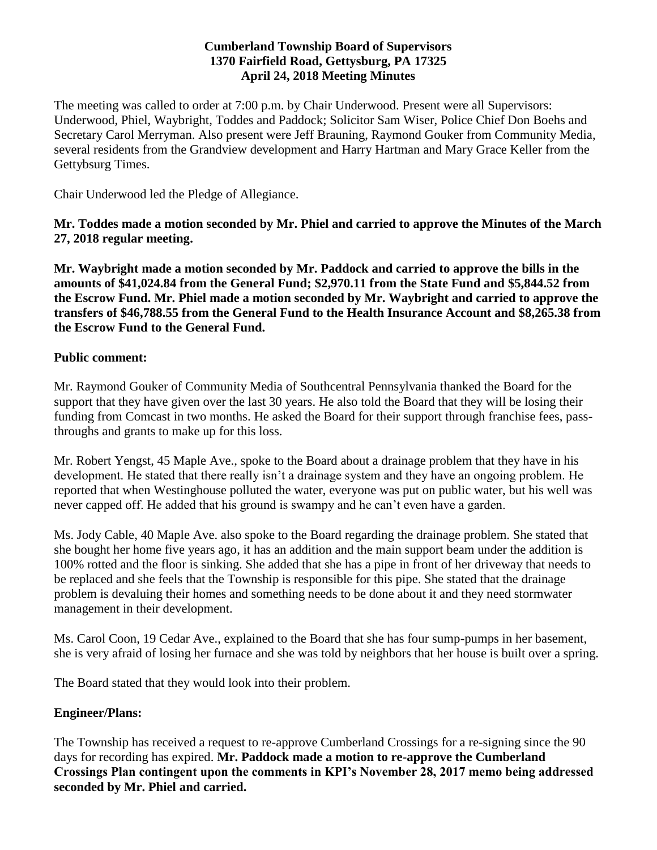#### **Cumberland Township Board of Supervisors 1370 Fairfield Road, Gettysburg, PA 17325 April 24, 2018 Meeting Minutes**

The meeting was called to order at 7:00 p.m. by Chair Underwood. Present were all Supervisors: Underwood, Phiel, Waybright, Toddes and Paddock; Solicitor Sam Wiser, Police Chief Don Boehs and Secretary Carol Merryman. Also present were Jeff Brauning, Raymond Gouker from Community Media, several residents from the Grandview development and Harry Hartman and Mary Grace Keller from the Gettybsurg Times.

Chair Underwood led the Pledge of Allegiance.

**Mr. Toddes made a motion seconded by Mr. Phiel and carried to approve the Minutes of the March 27, 2018 regular meeting.**

**Mr. Waybright made a motion seconded by Mr. Paddock and carried to approve the bills in the amounts of \$41,024.84 from the General Fund; \$2,970.11 from the State Fund and \$5,844.52 from the Escrow Fund. Mr. Phiel made a motion seconded by Mr. Waybright and carried to approve the transfers of \$46,788.55 from the General Fund to the Health Insurance Account and \$8,265.38 from the Escrow Fund to the General Fund.**

#### **Public comment:**

Mr. Raymond Gouker of Community Media of Southcentral Pennsylvania thanked the Board for the support that they have given over the last 30 years. He also told the Board that they will be losing their funding from Comcast in two months. He asked the Board for their support through franchise fees, passthroughs and grants to make up for this loss.

Mr. Robert Yengst, 45 Maple Ave., spoke to the Board about a drainage problem that they have in his development. He stated that there really isn't a drainage system and they have an ongoing problem. He reported that when Westinghouse polluted the water, everyone was put on public water, but his well was never capped off. He added that his ground is swampy and he can't even have a garden.

Ms. Jody Cable, 40 Maple Ave. also spoke to the Board regarding the drainage problem. She stated that she bought her home five years ago, it has an addition and the main support beam under the addition is 100% rotted and the floor is sinking. She added that she has a pipe in front of her driveway that needs to be replaced and she feels that the Township is responsible for this pipe. She stated that the drainage problem is devaluing their homes and something needs to be done about it and they need stormwater management in their development.

Ms. Carol Coon, 19 Cedar Ave., explained to the Board that she has four sump-pumps in her basement, she is very afraid of losing her furnace and she was told by neighbors that her house is built over a spring.

The Board stated that they would look into their problem.

## **Engineer/Plans:**

The Township has received a request to re-approve Cumberland Crossings for a re-signing since the 90 days for recording has expired. **Mr. Paddock made a motion to re-approve the Cumberland Crossings Plan contingent upon the comments in KPI's November 28, 2017 memo being addressed seconded by Mr. Phiel and carried.**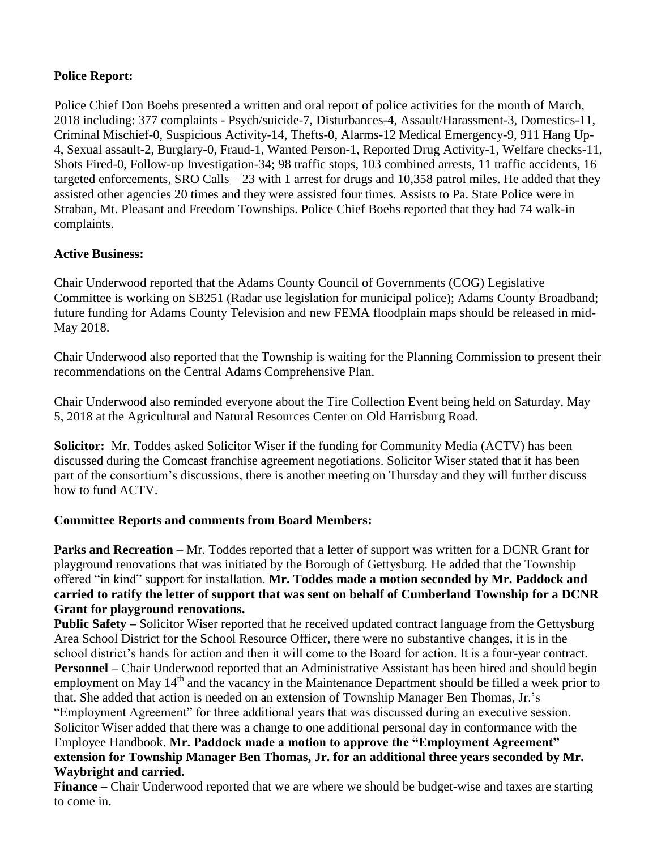# **Police Report:**

Police Chief Don Boehs presented a written and oral report of police activities for the month of March, 2018 including: 377 complaints - Psych/suicide-7, Disturbances-4, Assault/Harassment-3, Domestics-11, Criminal Mischief-0, Suspicious Activity-14, Thefts-0, Alarms-12 Medical Emergency-9, 911 Hang Up-4, Sexual assault-2, Burglary-0, Fraud-1, Wanted Person-1, Reported Drug Activity-1, Welfare checks-11, Shots Fired-0, Follow-up Investigation-34; 98 traffic stops, 103 combined arrests, 11 traffic accidents, 16 targeted enforcements, SRO Calls – 23 with 1 arrest for drugs and 10,358 patrol miles. He added that they assisted other agencies 20 times and they were assisted four times. Assists to Pa. State Police were in Straban, Mt. Pleasant and Freedom Townships. Police Chief Boehs reported that they had 74 walk-in complaints.

# **Active Business:**

Chair Underwood reported that the Adams County Council of Governments (COG) Legislative Committee is working on SB251 (Radar use legislation for municipal police); Adams County Broadband; future funding for Adams County Television and new FEMA floodplain maps should be released in mid-May 2018.

Chair Underwood also reported that the Township is waiting for the Planning Commission to present their recommendations on the Central Adams Comprehensive Plan.

Chair Underwood also reminded everyone about the Tire Collection Event being held on Saturday, May 5, 2018 at the Agricultural and Natural Resources Center on Old Harrisburg Road.

**Solicitor:** Mr. Toddes asked Solicitor Wiser if the funding for Community Media (ACTV) has been discussed during the Comcast franchise agreement negotiations. Solicitor Wiser stated that it has been part of the consortium's discussions, there is another meeting on Thursday and they will further discuss how to fund ACTV.

## **Committee Reports and comments from Board Members:**

**Parks and Recreation** – Mr. Toddes reported that a letter of support was written for a DCNR Grant for playground renovations that was initiated by the Borough of Gettysburg. He added that the Township offered "in kind" support for installation. **Mr. Toddes made a motion seconded by Mr. Paddock and carried to ratify the letter of support that was sent on behalf of Cumberland Township for a DCNR Grant for playground renovations.**

**Public Safety –** Solicitor Wiser reported that he received updated contract language from the Gettysburg Area School District for the School Resource Officer, there were no substantive changes, it is in the school district's hands for action and then it will come to the Board for action. It is a four-year contract. **Personnel –** Chair Underwood reported that an Administrative Assistant has been hired and should begin employment on May 14<sup>th</sup> and the vacancy in the Maintenance Department should be filled a week prior to that. She added that action is needed on an extension of Township Manager Ben Thomas, Jr.'s

"Employment Agreement" for three additional years that was discussed during an executive session. Solicitor Wiser added that there was a change to one additional personal day in conformance with the Employee Handbook. **Mr. Paddock made a motion to approve the "Employment Agreement" extension for Township Manager Ben Thomas, Jr. for an additional three years seconded by Mr. Waybright and carried.**

**Finance –** Chair Underwood reported that we are where we should be budget-wise and taxes are starting to come in.